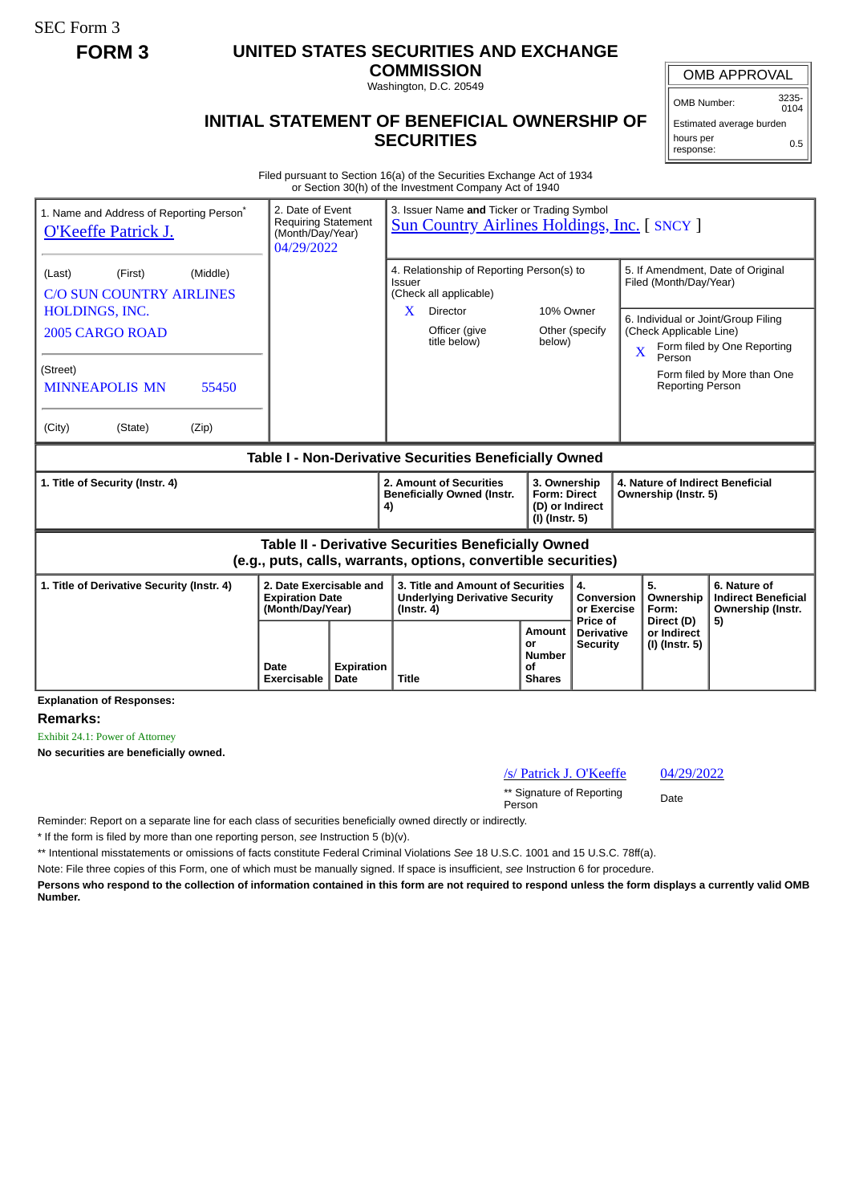SEC Form 3

## **FORM 3 UNITED STATES SECURITIES AND EXCHANGE**

**COMMISSION** Washington, D.C. 20549

## **INITIAL STATEMENT OF BENEFICIAL OWNERSHIP OF SECURITIES**

OMB APPROVAL

OMB Number: 3235-  $0104$ 

Estimated average burden hours per response: 0.5

Filed pursuant to Section 16(a) of the Securities Exchange Act of 1934 or Section 30(h) of the Investment Company Act of 1940

| 1. Name and Address of Reporting Person <sup>*</sup><br><b>O'Keeffe Patrick J.</b> | 2. Date of Event<br><b>Requiring Statement</b><br>(Month/Day/Year)<br>04/29/2022 | 3. Issuer Name and Ticker or Trading Symbol<br><b>Sun Country Airlines Holdings, Inc. [SNCY ]</b>                     |                                                          |                                                                                                                                              |
|------------------------------------------------------------------------------------|----------------------------------------------------------------------------------|-----------------------------------------------------------------------------------------------------------------------|----------------------------------------------------------|----------------------------------------------------------------------------------------------------------------------------------------------|
| (Middle)<br>(First)<br>(Last)<br><b>C/O SUN COUNTRY AIRLINES</b>                   |                                                                                  | 4. Relationship of Reporting Person(s) to<br>Issuer<br>(Check all applicable)                                         |                                                          | 5. If Amendment, Date of Original<br>Filed (Month/Day/Year)                                                                                  |
| HOLDINGS, INC.<br>2005 CARGO ROAD                                                  |                                                                                  | <b>Director</b><br>X<br>Officer (give<br>title below)                                                                 | 10% Owner<br>Other (specify<br>below)                    | 6. Individual or Joint/Group Filing<br>(Check Applicable Line)<br>Form filed by One Reporting<br>$\overline{\mathbf{X}}$<br>Person           |
| (Street)<br><b>MINNEAPOLIS MN</b><br>55450                                         |                                                                                  |                                                                                                                       |                                                          | Form filed by More than One<br><b>Reporting Person</b>                                                                                       |
| (Zip)<br>(City)<br>(State)                                                         |                                                                                  |                                                                                                                       |                                                          |                                                                                                                                              |
| Table I - Non-Derivative Securities Beneficially Owned                             |                                                                                  |                                                                                                                       |                                                          |                                                                                                                                              |
| 1. Title of Security (Instr. 4)                                                    |                                                                                  | 2. Amount of Securities                                                                                               | 3. Ownership                                             | 4. Nature of Indirect Beneficial                                                                                                             |
|                                                                                    |                                                                                  | <b>Beneficially Owned (Instr.</b><br>4)                                                                               | <b>Form: Direct</b><br>(D) or Indirect<br>(I) (Instr. 5) | Ownership (Instr. 5)                                                                                                                         |
|                                                                                    |                                                                                  | Table II - Derivative Securities Beneficially Owned<br>(e.g., puts, calls, warrants, options, convertible securities) |                                                          |                                                                                                                                              |
| 1. Title of Derivative Security (Instr. 4)                                         | 2. Date Exercisable and<br><b>Expiration Date</b><br>(Month/Day/Year)            | 3. Title and Amount of Securities<br><b>Underlying Derivative Security</b><br>$($ lnstr. 4 $)$                        | 4.<br>Price of                                           | 5.<br>6. Nature of<br>Ownership<br><b>Indirect Beneficial</b><br>Conversion<br>or Exercise<br>Form:<br>Ownership (Instr.<br>5)<br>Direct (D) |

**Explanation of Responses:**

**Remarks:**

Exhibit 24.1: Power of Attorney

**No securities are beneficially owned.**

## /s/ Patrick J. O'Keeffe 04/29/2022

\*\* Signature of Reporting Person Date

Reminder: Report on a separate line for each class of securities beneficially owned directly or indirectly.

\* If the form is filed by more than one reporting person, *see* Instruction 5 (b)(v).

\*\* Intentional misstatements or omissions of facts constitute Federal Criminal Violations *See* 18 U.S.C. 1001 and 15 U.S.C. 78ff(a).

Note: File three copies of this Form, one of which must be manually signed. If space is insufficient, *see* Instruction 6 for procedure.

**Persons who respond to the collection of information contained in this form are not required to respond unless the form displays a currently valid OMB Number.**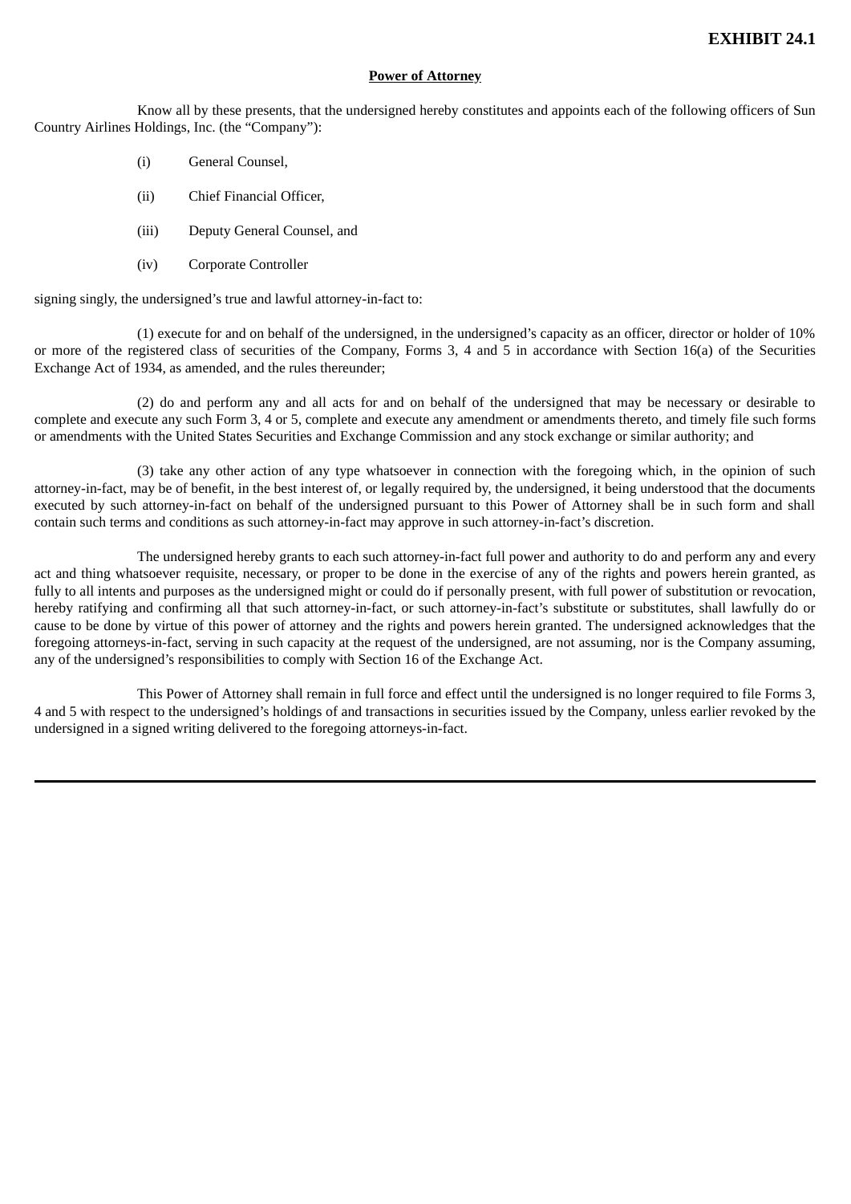## **Power of Attorney**

Know all by these presents, that the undersigned hereby constitutes and appoints each of the following officers of Sun Country Airlines Holdings, Inc. (the "Company"):

- (i) General Counsel,
- (ii) Chief Financial Officer,
- (iii) Deputy General Counsel, and
- (iv) Corporate Controller

signing singly, the undersigned's true and lawful attorney-in-fact to:

(1) execute for and on behalf of the undersigned, in the undersigned's capacity as an officer, director or holder of 10% or more of the registered class of securities of the Company, Forms 3, 4 and 5 in accordance with Section 16(a) of the Securities Exchange Act of 1934, as amended, and the rules thereunder;

(2) do and perform any and all acts for and on behalf of the undersigned that may be necessary or desirable to complete and execute any such Form 3, 4 or 5, complete and execute any amendment or amendments thereto, and timely file such forms or amendments with the United States Securities and Exchange Commission and any stock exchange or similar authority; and

(3) take any other action of any type whatsoever in connection with the foregoing which, in the opinion of such attorney-in-fact, may be of benefit, in the best interest of, or legally required by, the undersigned, it being understood that the documents executed by such attorney-in-fact on behalf of the undersigned pursuant to this Power of Attorney shall be in such form and shall contain such terms and conditions as such attorney-in-fact may approve in such attorney-in-fact's discretion.

The undersigned hereby grants to each such attorney-in-fact full power and authority to do and perform any and every act and thing whatsoever requisite, necessary, or proper to be done in the exercise of any of the rights and powers herein granted, as fully to all intents and purposes as the undersigned might or could do if personally present, with full power of substitution or revocation, hereby ratifying and confirming all that such attorney-in-fact, or such attorney-in-fact's substitute or substitutes, shall lawfully do or cause to be done by virtue of this power of attorney and the rights and powers herein granted. The undersigned acknowledges that the foregoing attorneys-in-fact, serving in such capacity at the request of the undersigned, are not assuming, nor is the Company assuming, any of the undersigned's responsibilities to comply with Section 16 of the Exchange Act.

This Power of Attorney shall remain in full force and effect until the undersigned is no longer required to file Forms 3, 4 and 5 with respect to the undersigned's holdings of and transactions in securities issued by the Company, unless earlier revoked by the undersigned in a signed writing delivered to the foregoing attorneys-in-fact.